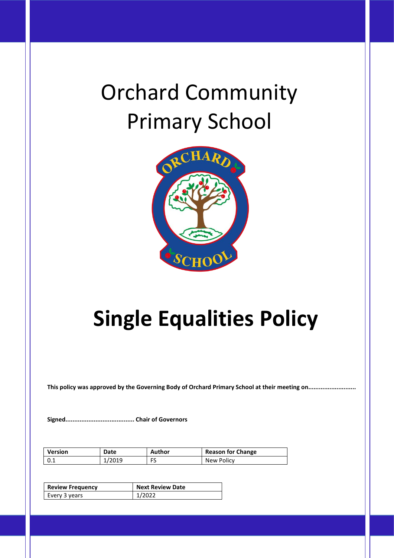# Orchard Community Primary School



# **Single Equalities Policy**

**This policy was approved by the Governing Body of Orchard Primary School at their meeting on...........................**

**Signed....................................... Chair of Governors**

| <b>Version</b> | Date   | Author | <b>Reason for Change</b> |
|----------------|--------|--------|--------------------------|
| 0.1            | 1/2019 | FS     | New Policy               |

| <b>Review Frequency</b> | <b>Next Review Date</b> |  |  |  |
|-------------------------|-------------------------|--|--|--|
| Every 3 years           | 1/2022                  |  |  |  |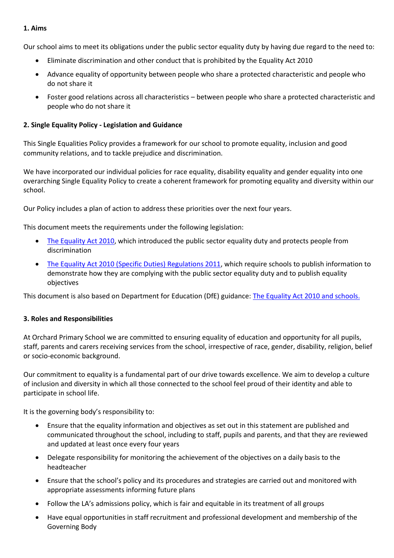#### **1. Aims**

Our school aims to meet its obligations under the public sector equality duty by having due regard to the need to:

- Eliminate discrimination and other conduct that is prohibited by the Equality Act 2010
- Advance equality of opportunity between people who share a protected characteristic and people who do not share it
- Foster good relations across all characteristics between people who share a protected characteristic and people who do not share it

#### **2. Single Equality Policy - Legislation and Guidance**

This Single Equalities Policy provides a framework for our school to promote equality, inclusion and good community relations, and to tackle prejudice and discrimination.

We have incorporated our individual policies for race equality, disability equality and gender equality into one overarching Single Equality Policy to create a coherent framework for promoting equality and diversity within our school.

Our Policy includes a plan of action to address these priorities over the next four years.

This document meets the requirements under the following legislation:

- [The Equality Act 2010,](http://www.legislation.gov.uk/ukpga/2010/15/contents) which introduced the public sector equality duty and protects people from discrimination
- [The Equality Act 2010 \(Specific Duties\) Regulations 2011,](http://www.legislation.gov.uk/uksi/2011/2260/contents/made) which require schools to publish information to demonstrate how they are complying with the public sector equality duty and to publish equality objectives

This document is also based on Department for Education (DfE) guidance: The Equality Act 2010 and schools.

#### **3. Roles and Responsibilities**

At Orchard Primary School we are committed to ensuring equality of education and opportunity for all pupils, staff, parents and carers receiving services from the school, irrespective of race, gender, disability, religion, belief or socio-economic background.

Our commitment to equality is a fundamental part of our drive towards excellence. We aim to develop a culture of inclusion and diversity in which all those connected to the school feel proud of their identity and able to participate in school life.

It is the governing body's responsibility to:

- Ensure that the equality information and objectives as set out in this statement are published and communicated throughout the school, including to staff, pupils and parents, and that they are reviewed and updated at least once every four years
- Delegate responsibility for monitoring the achievement of the objectives on a daily basis to the headteacher
- Ensure that the school's policy and its procedures and strategies are carried out and monitored with appropriate assessments informing future plans
- Follow the LA's admissions policy, which is fair and equitable in its treatment of all groups
- Have equal opportunities in staff recruitment and professional development and membership of the Governing Body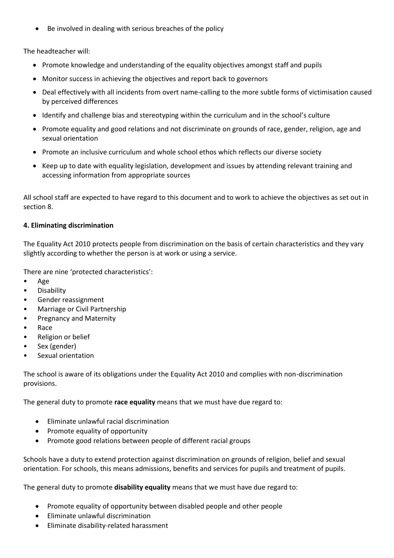Be involved in dealing with serious breaches of the policy

The headteacher will:

- Promote knowledge and understanding of the equality objectives amongst staff and pupils
- Monitor success in achieving the objectives and report back to governors
- Deal effectively with all incidents from overt name-calling to the more subtle forms of victimisation caused by perceived differences
- Identify and challenge bias and stereotyping within the curriculum and in the school's culture
- Promote equality and good relations and not discriminate on grounds of race, gender, religion, age and sexual orientation
- Promote an inclusive curriculum and whole school ethos which reflects our diverse society
- Keep up to date with equality legislation, development and issues by attending relevant training and accessing information from appropriate sources

All school staff are expected to have regard to this document and to work to achieve the objectives as set out in section 8.

#### **4. Eliminating discrimination**

The Equality Act 2010 protects people from discrimination on the basis of certain characteristics and they vary slightly according to whether the person is at work or using a service.

There are nine 'protected characteristics':

- Age
- Disability
- Gender reassignment
- Marriage or Civil Partnership
- Pregnancy and Maternity
- Race
- Religion or belief
- Sex (gender)
- Sexual orientation

The school is aware of its obligations under the Equality Act 2010 and complies with non-discrimination provisions.

The general duty to promote **race equality** means that we must have due regard to:

- Eliminate unlawful racial discrimination
- Promote equality of opportunity
- Promote good relations between people of different racial groups

Schools have a duty to extend protection against discrimination on grounds of religion, belief and sexual orientation. For schools, this means admissions, benefits and services for pupils and treatment of pupils.

The general duty to promote **disability equality** means that we must have due regard to:

- Promote equality of opportunity between disabled people and other people
- Eliminate unlawful discrimination
- Eliminate disability-related harassment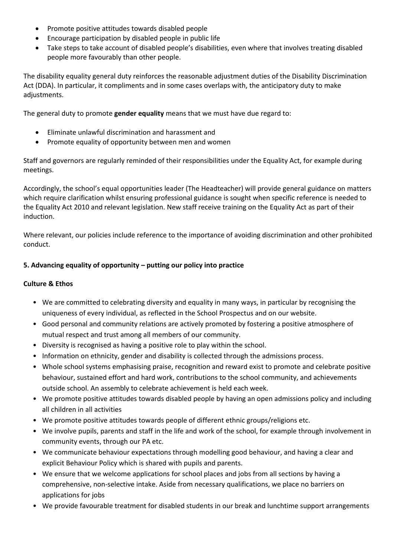- Promote positive attitudes towards disabled people
- Encourage participation by disabled people in public life
- Take steps to take account of disabled people's disabilities, even where that involves treating disabled people more favourably than other people.

The disability equality general duty reinforces the reasonable adjustment duties of the Disability Discrimination Act (DDA). In particular, it compliments and in some cases overlaps with, the anticipatory duty to make adjustments.

The general duty to promote **gender equality** means that we must have due regard to:

- Eliminate unlawful discrimination and harassment and
- Promote equality of opportunity between men and women

Staff and governors are regularly reminded of their responsibilities under the Equality Act, for example during meetings.

Accordingly, the school's equal opportunities leader (The Headteacher) will provide general guidance on matters which require clarification whilst ensuring professional guidance is sought when specific reference is needed to the Equality Act 2010 and relevant legislation. New staff receive training on the Equality Act as part of their induction.

Where relevant, our policies include reference to the importance of avoiding discrimination and other prohibited conduct.

#### **5. Advancing equality of opportunity – putting our policy into practice**

#### **Culture & Ethos**

- We are committed to celebrating diversity and equality in many ways, in particular by recognising the uniqueness of every individual, as reflected in the School Prospectus and on our website.
- Good personal and community relations are actively promoted by fostering a positive atmosphere of mutual respect and trust among all members of our community.
- Diversity is recognised as having a positive role to play within the school.
- Information on ethnicity, gender and disability is collected through the admissions process.
- Whole school systems emphasising praise, recognition and reward exist to promote and celebrate positive behaviour, sustained effort and hard work, contributions to the school community, and achievements outside school. An assembly to celebrate achievement is held each week.
- We promote positive attitudes towards disabled people by having an open admissions policy and including all children in all activities
- We promote positive attitudes towards people of different ethnic groups/religions etc.
- We involve pupils, parents and staff in the life and work of the school, for example through involvement in community events, through our PA etc.
- We communicate behaviour expectations through modelling good behaviour, and having a clear and explicit Behaviour Policy which is shared with pupils and parents.
- We ensure that we welcome applications for school places and jobs from all sections by having a comprehensive, non-selective intake. Aside from necessary qualifications, we place no barriers on applications for jobs
- We provide favourable treatment for disabled students in our break and lunchtime support arrangements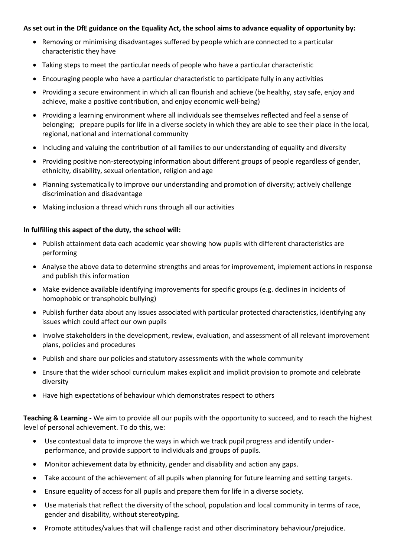#### **As set out in the DfE guidance on the Equality Act, the school aims to advance equality of opportunity by:**

- Removing or minimising disadvantages suffered by people which are connected to a particular characteristic they have
- Taking steps to meet the particular needs of people who have a particular characteristic
- Encouraging people who have a particular characteristic to participate fully in any activities
- Providing a secure environment in which all can flourish and achieve (be healthy, stay safe, enjoy and achieve, make a positive contribution, and enjoy economic well-being)
- Providing a learning environment where all individuals see themselves reflected and feel a sense of belonging; prepare pupils for life in a diverse society in which they are able to see their place in the local, regional, national and international community
- Including and valuing the contribution of all families to our understanding of equality and diversity
- Providing positive non-stereotyping information about different groups of people regardless of gender, ethnicity, disability, sexual orientation, religion and age
- Planning systematically to improve our understanding and promotion of diversity; actively challenge discrimination and disadvantage
- Making inclusion a thread which runs through all our activities

#### **In fulfilling this aspect of the duty, the school will:**

- Publish attainment data each academic year showing how pupils with different characteristics are performing
- Analyse the above data to determine strengths and areas for improvement, implement actions in response and publish this information
- Make evidence available identifying improvements for specific groups (e.g. declines in incidents of homophobic or transphobic bullying)
- Publish further data about any issues associated with particular protected characteristics, identifying any issues which could affect our own pupils
- Involve stakeholders in the development, review, evaluation, and assessment of all relevant improvement plans, policies and procedures
- Publish and share our policies and statutory assessments with the whole community
- Ensure that the wider school curriculum makes explicit and implicit provision to promote and celebrate diversity
- Have high expectations of behaviour which demonstrates respect to others

**Teaching & Learning -** We aim to provide all our pupils with the opportunity to succeed, and to reach the highest level of personal achievement. To do this, we:

- Use contextual data to improve the ways in which we track pupil progress and identify underperformance, and provide support to individuals and groups of pupils.
- Monitor achievement data by ethnicity, gender and disability and action any gaps.
- Take account of the achievement of all pupils when planning for future learning and setting targets.
- Ensure equality of access for all pupils and prepare them for life in a diverse society.
- Use materials that reflect the diversity of the school, population and local community in terms of race, gender and disability, without stereotyping.
- Promote attitudes/values that will challenge racist and other discriminatory behaviour/prejudice.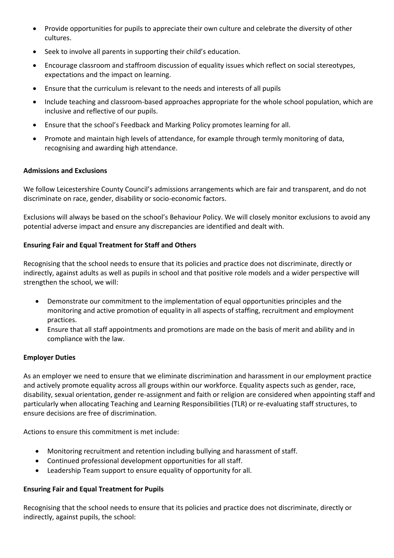- Provide opportunities for pupils to appreciate their own culture and celebrate the diversity of other cultures.
- Seek to involve all parents in supporting their child's education.
- Encourage classroom and staffroom discussion of equality issues which reflect on social stereotypes, expectations and the impact on learning.
- Ensure that the curriculum is relevant to the needs and interests of all pupils
- Include teaching and classroom-based approaches appropriate for the whole school population, which are inclusive and reflective of our pupils.
- Ensure that the school's Feedback and Marking Policy promotes learning for all.
- Promote and maintain high levels of attendance, for example through termly monitoring of data, recognising and awarding high attendance.

#### **Admissions and Exclusions**

We follow Leicestershire County Council's admissions arrangements which are fair and transparent, and do not discriminate on race, gender, disability or socio-economic factors.

Exclusions will always be based on the school's Behaviour Policy. We will closely monitor exclusions to avoid any potential adverse impact and ensure any discrepancies are identified and dealt with.

#### **Ensuring Fair and Equal Treatment for Staff and Others**

Recognising that the school needs to ensure that its policies and practice does not discriminate, directly or indirectly, against adults as well as pupils in school and that positive role models and a wider perspective will strengthen the school, we will:

- Demonstrate our commitment to the implementation of equal opportunities principles and the monitoring and active promotion of equality in all aspects of staffing, recruitment and employment practices.
- Ensure that all staff appointments and promotions are made on the basis of merit and ability and in compliance with the law.

#### **Employer Duties**

As an employer we need to ensure that we eliminate discrimination and harassment in our employment practice and actively promote equality across all groups within our workforce. Equality aspects such as gender, race, disability, sexual orientation, gender re-assignment and faith or religion are considered when appointing staff and particularly when allocating Teaching and Learning Responsibilities (TLR) or re-evaluating staff structures, to ensure decisions are free of discrimination.

Actions to ensure this commitment is met include:

- Monitoring recruitment and retention including bullying and harassment of staff.
- Continued professional development opportunities for all staff.
- Leadership Team support to ensure equality of opportunity for all.

#### **Ensuring Fair and Equal Treatment for Pupils**

Recognising that the school needs to ensure that its policies and practice does not discriminate, directly or indirectly, against pupils, the school: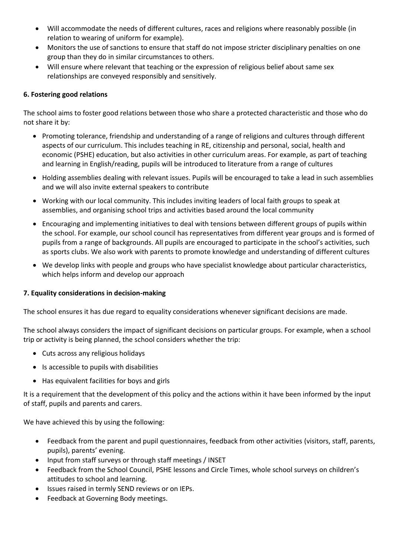- Will accommodate the needs of different cultures, races and religions where reasonably possible (in relation to wearing of uniform for example).
- Monitors the use of sanctions to ensure that staff do not impose stricter disciplinary penalties on one group than they do in similar circumstances to others.
- Will ensure where relevant that teaching or the expression of religious belief about same sex relationships are conveyed responsibly and sensitively.

#### **6. Fostering good relations**

The school aims to foster good relations between those who share a protected characteristic and those who do not share it by:

- Promoting tolerance, friendship and understanding of a range of religions and cultures through different aspects of our curriculum. This includes teaching in RE, citizenship and personal, social, health and economic (PSHE) education, but also activities in other curriculum areas. For example, as part of teaching and learning in English/reading, pupils will be introduced to literature from a range of cultures
- Holding assemblies dealing with relevant issues. Pupils will be encouraged to take a lead in such assemblies and we will also invite external speakers to contribute
- Working with our local community. This includes inviting leaders of local faith groups to speak at assemblies, and organising school trips and activities based around the local community
- Encouraging and implementing initiatives to deal with tensions between different groups of pupils within the school. For example, our school council has representatives from different year groups and is formed of pupils from a range of backgrounds. All pupils are encouraged to participate in the school's activities, such as sports clubs. We also work with parents to promote knowledge and understanding of different cultures
- We develop links with people and groups who have specialist knowledge about particular characteristics, which helps inform and develop our approach

#### **7. Equality considerations in decision-making**

The school ensures it has due regard to equality considerations whenever significant decisions are made.

The school always considers the impact of significant decisions on particular groups. For example, when a school trip or activity is being planned, the school considers whether the trip:

- Cuts across any religious holidays
- Is accessible to pupils with disabilities
- Has equivalent facilities for boys and girls

It is a requirement that the development of this policy and the actions within it have been informed by the input of staff, pupils and parents and carers.

We have achieved this by using the following:

- Feedback from the parent and pupil questionnaires, feedback from other activities (visitors, staff, parents, pupils), parents' evening.
- Input from staff surveys or through staff meetings / INSET
- Feedback from the School Council, PSHE lessons and Circle Times, whole school surveys on children's attitudes to school and learning.
- Issues raised in termly SEND reviews or on IEPs.
- Feedback at Governing Body meetings.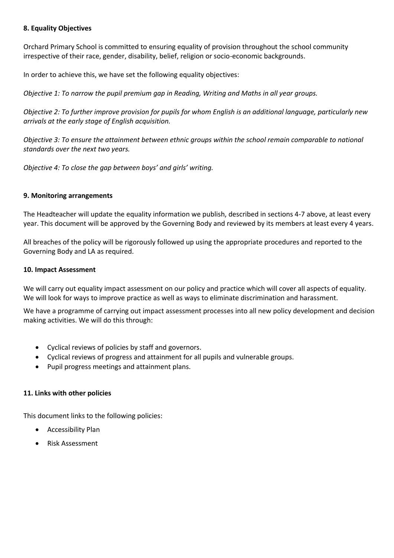#### **8. Equality Objectives**

Orchard Primary School is committed to ensuring equality of provision throughout the school community irrespective of their race, gender, disability, belief, religion or socio-economic backgrounds.

In order to achieve this, we have set the following equality objectives:

*Objective 1: To narrow the pupil premium gap in Reading, Writing and Maths in all year groups.*

*Objective 2: To further improve provision for pupils for whom English is an additional language, particularly new arrivals at the early stage of English acquisition.*

*Objective 3: To ensure the attainment between ethnic groups within the school remain comparable to national standards over the next two years.*

*Objective 4: To close the gap between boys' and girls' writing.*

#### **9. Monitoring arrangements**

The Headteacher will update the equality information we publish, described in sections 4-7 above, at least every year. This document will be approved by the Governing Body and reviewed by its members at least every 4 years.

All breaches of the policy will be rigorously followed up using the appropriate procedures and reported to the Governing Body and LA as required.

#### **10. Impact Assessment**

We will carry out equality impact assessment on our policy and practice which will cover all aspects of equality. We will look for ways to improve practice as well as ways to eliminate discrimination and harassment.

We have a programme of carrying out impact assessment processes into all new policy development and decision making activities. We will do this through:

- Cyclical reviews of policies by staff and governors.
- Cyclical reviews of progress and attainment for all pupils and vulnerable groups.
- Pupil progress meetings and attainment plans.

#### **11. Links with other policies**

This document links to the following policies:

- Accessibility Plan
- Risk Assessment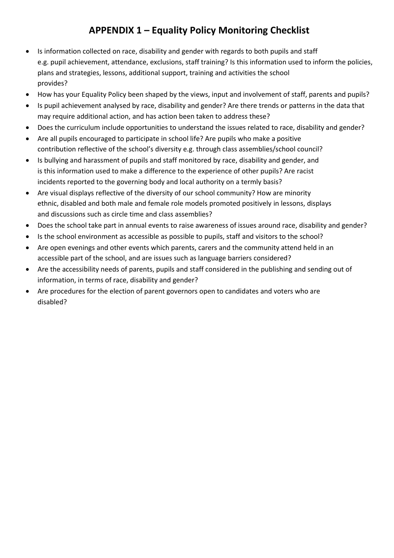### **APPENDIX 1 – Equality Policy Monitoring Checklist**

- Is information collected on race, disability and gender with regards to both pupils and staff e.g. pupil achievement, attendance, exclusions, staff training? Is this information used to inform the policies, plans and strategies, lessons, additional support, training and activities the school provides?
- How has your Equality Policy been shaped by the views, input and involvement of staff, parents and pupils?
- Is pupil achievement analysed by race, disability and gender? Are there trends or patterns in the data that may require additional action, and has action been taken to address these?
- Does the curriculum include opportunities to understand the issues related to race, disability and gender?
- Are all pupils encouraged to participate in school life? Are pupils who make a positive contribution reflective of the school's diversity e.g. through class assemblies/school council?
- Is bullying and harassment of pupils and staff monitored by race, disability and gender, and is this information used to make a difference to the experience of other pupils? Are racist incidents reported to the governing body and local authority on a termly basis?
- Are visual displays reflective of the diversity of our school community? How are minority ethnic, disabled and both male and female role models promoted positively in lessons, displays and discussions such as circle time and class assemblies?
- Does the school take part in annual events to raise awareness of issues around race, disability and gender?
- Is the school environment as accessible as possible to pupils, staff and visitors to the school?
- Are open evenings and other events which parents, carers and the community attend held in an accessible part of the school, and are issues such as language barriers considered?
- Are the accessibility needs of parents, pupils and staff considered in the publishing and sending out of information, in terms of race, disability and gender?
- Are procedures for the election of parent governors open to candidates and voters who are disabled?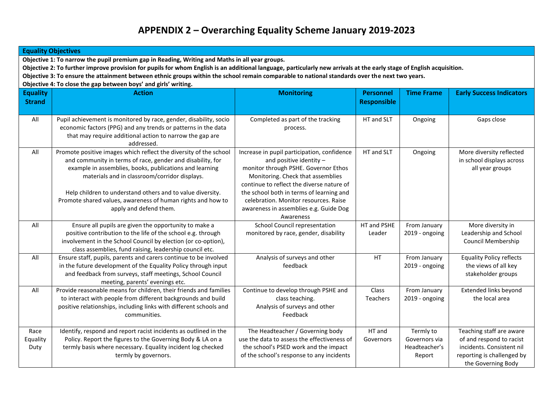### **APPENDIX 2 – Overarching Equality Scheme January 2019-2023**

| <b>Equality Objectives</b>                                                                                                                                                                                                                                                                                                                                                                                                                                                                   |                                                                                                                                                                                                                                                   |                                                                                                                                                                                                    |                                        |                                                       |                                                                                                                                       |  |  |
|----------------------------------------------------------------------------------------------------------------------------------------------------------------------------------------------------------------------------------------------------------------------------------------------------------------------------------------------------------------------------------------------------------------------------------------------------------------------------------------------|---------------------------------------------------------------------------------------------------------------------------------------------------------------------------------------------------------------------------------------------------|----------------------------------------------------------------------------------------------------------------------------------------------------------------------------------------------------|----------------------------------------|-------------------------------------------------------|---------------------------------------------------------------------------------------------------------------------------------------|--|--|
| Objective 1: To narrow the pupil premium gap in Reading, Writing and Maths in all year groups.<br>Objective 2: To further improve provision for pupils for whom English is an additional language, particularly new arrivals at the early stage of English acquisition.<br>Objective 3: To ensure the attainment between ethnic groups within the school remain comparable to national standards over the next two years.<br>Objective 4: To close the gap between boys' and girls' writing. |                                                                                                                                                                                                                                                   |                                                                                                                                                                                                    |                                        |                                                       |                                                                                                                                       |  |  |
| <b>Equality</b><br><b>Strand</b>                                                                                                                                                                                                                                                                                                                                                                                                                                                             | <b>Action</b>                                                                                                                                                                                                                                     | <b>Monitoring</b>                                                                                                                                                                                  | <b>Personnel</b><br><b>Responsible</b> | <b>Time Frame</b>                                     | <b>Early Success Indicators</b>                                                                                                       |  |  |
| All                                                                                                                                                                                                                                                                                                                                                                                                                                                                                          | Pupil achievement is monitored by race, gender, disability, socio<br>economic factors (PPG) and any trends or patterns in the data<br>that may require additional action to narrow the gap are<br>addressed.                                      | Completed as part of the tracking<br>process.                                                                                                                                                      | HT and SLT                             | Ongoing                                               | Gaps close                                                                                                                            |  |  |
| All                                                                                                                                                                                                                                                                                                                                                                                                                                                                                          | Promote positive images which reflect the diversity of the school<br>and community in terms of race, gender and disability, for<br>example in assemblies, books, publications and learning<br>materials and in classroom/corridor displays.       | Increase in pupil participation, confidence<br>and positive identity $-$<br>monitor through PSHE. Governor Ethos<br>Monitoring. Check that assemblies<br>continue to reflect the diverse nature of | HT and SLT                             | Ongoing                                               | More diversity reflected<br>in school displays across<br>all year groups                                                              |  |  |
|                                                                                                                                                                                                                                                                                                                                                                                                                                                                                              | Help children to understand others and to value diversity.<br>Promote shared values, awareness of human rights and how to<br>apply and defend them.                                                                                               | the school both in terms of learning and<br>celebration. Monitor resources. Raise<br>awareness in assemblies e.g. Guide Dog<br>Awareness                                                           |                                        |                                                       |                                                                                                                                       |  |  |
| All                                                                                                                                                                                                                                                                                                                                                                                                                                                                                          | Ensure all pupils are given the opportunity to make a<br>positive contribution to the life of the school e.g. through<br>involvement in the School Council by election (or co-option),<br>class assemblies, fund raising, leadership council etc. | School Council representation<br>monitored by race, gender, disability                                                                                                                             | HT and PSHE<br>Leader                  | From January<br>2019 - ongoing                        | More diversity in<br>Leadership and School<br>Council Membership                                                                      |  |  |
| All                                                                                                                                                                                                                                                                                                                                                                                                                                                                                          | Ensure staff, pupils, parents and carers continue to be involved<br>in the future development of the Equality Policy through input<br>and feedback from surveys, staff meetings, School Council<br>meeting, parents' evenings etc.                | Analysis of surveys and other<br>feedback                                                                                                                                                          | HT                                     | From January<br>2019 - ongoing                        | <b>Equality Policy reflects</b><br>the views of all key<br>stakeholder groups                                                         |  |  |
| All                                                                                                                                                                                                                                                                                                                                                                                                                                                                                          | Provide reasonable means for children, their friends and families<br>to interact with people from different backgrounds and build<br>positive relationships, including links with different schools and<br>communities.                           | Continue to develop through PSHE and<br>class teaching.<br>Analysis of surveys and other<br>Feedback                                                                                               | Class<br>Teachers                      | From January<br>2019 - ongoing                        | <b>Extended links beyond</b><br>the local area                                                                                        |  |  |
| Race<br>Equality<br>Duty                                                                                                                                                                                                                                                                                                                                                                                                                                                                     | Identify, respond and report racist incidents as outlined in the<br>Policy. Report the figures to the Governing Body & LA on a<br>termly basis where necessary. Equality incident log checked<br>termly by governors.                             | The Headteacher / Governing body<br>use the data to assess the effectiveness of<br>the school's PSED work and the impact<br>of the school's response to any incidents                              | HT and<br>Governors                    | Termly to<br>Governors via<br>Headteacher's<br>Report | Teaching staff are aware<br>of and respond to racist<br>incidents. Consistent nil<br>reporting is challenged by<br>the Governing Body |  |  |